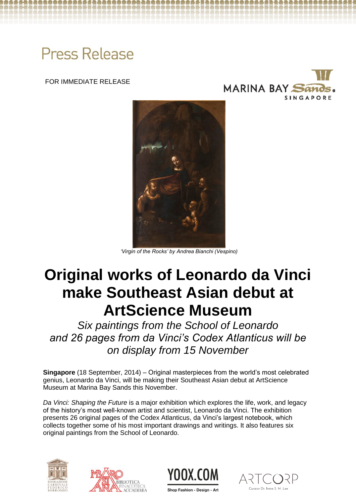# **Press Release**

FOR IMMEDIATE RELEASE





*'Virgin of the Rocks' by Andrea Bianchi (Vespino)* 

## **Original works of Leonardo da Vinci make Southeast Asian debut at ArtScience Museum**

*Six paintings from the School of Leonardo and 26 pages from da Vinci's Codex Atlanticus will be on display from 15 November*

**Singapore** (18 September, 2014) – Original masterpieces from the world's most celebrated genius, Leonardo da Vinci, will be making their Southeast Asian debut at ArtScience Museum at Marina Bay Sands this November.

*Da Vinci: Shaping the Future* is a major exhibition which explores the life, work, and legacy of the history's most well-known artist and scientist, Leonardo da Vinci. The exhibition presents 26 original pages of the Codex Atlanticus, da Vinci's largest notebook, which collects together some of his most important drawings and writings. It also features six original paintings from the School of Leonardo.







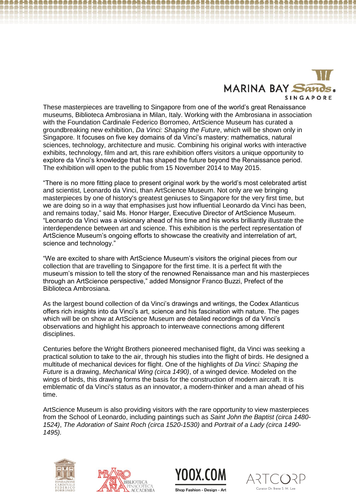

These masterpieces are travelling to Singapore from one of the world's great Renaissance museums, Biblioteca Ambrosiana in Milan, Italy. Working with the Ambrosiana in association with the Foundation Cardinale Federico Borromeo, ArtScience Museum has curated a groundbreaking new exhibition, *Da Vinci: Shaping the Future*, which will be shown only in Singapore. It focuses on five key domains of da Vinci's mastery: mathematics, natural sciences, technology, architecture and music. Combining his original works with interactive exhibits, technology, film and art, this rare exhibition offers visitors a unique opportunity to explore da Vinci's knowledge that has shaped the future beyond the Renaissance period. The exhibition will open to the public from 15 November 2014 to May 2015.

"There is no more fitting place to present original work by the world's most celebrated artist and scientist, Leonardo da Vinci, than ArtScience Museum. Not only are we bringing masterpieces by one of history's greatest geniuses to Singapore for the very first time, but we are doing so in a way that emphasises just how influential Leonardo da Vinci has been, and remains today," said Ms. Honor Harger, Executive Director of ArtScience Museum. "Leonardo da Vinci was a visionary ahead of his time and his works brilliantly illustrate the interdependence between art and science. This exhibition is the perfect representation of ArtScience Museum's ongoing efforts to showcase the creativity and interrelation of art, science and technology."

"We are excited to share with ArtScience Museum's visitors the original pieces from our collection that are travelling to Singapore for the first time. It is a perfect fit with the museum's mission to tell the story of the renowned Renaissance man and his masterpieces through an ArtScience perspective," added Monsignor Franco Buzzi, Prefect of the Biblioteca Ambrosiana.

As the largest bound collection of da Vinci's drawings and writings, the Codex Atlanticus offers rich insights into da Vinci's art, science and his fascination with nature. The pages which will be on show at ArtScience Museum are detailed recordings of da Vinci's observations and highlight his approach to interweave connections among different disciplines.

Centuries before the Wright Brothers pioneered mechanised flight, da Vinci was seeking a practical solution to take to the air, through his studies into the flight of birds. He designed a multitude of mechanical devices for flight. One of the highlights of *Da Vinci: Shaping the Future* is a drawing, *Mechanical Wing (circa 1490)*, of a winged device. Modeled on the wings of birds, this drawing forms the basis for the construction of modern aircraft. It is emblematic of da Vinci's status as an innovator, a modern-thinker and a man ahead of his time.

ArtScience Museum is also providing visitors with the rare opportunity to view masterpieces from the School of Leonardo, including paintings such as *Saint John the Baptist (circa 1480- 1524)*, *The Adoration of Saint Roch (circa 1520-1530)* and *Portrait of a Lady (circa 1490- 1495).* 









Shop Fashion - Design - Art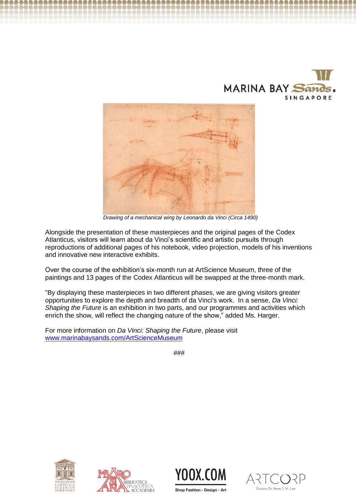



 *Drawing of a mechanical wing by Leonardo da Vinci (Circa 1490)*

Alongside the presentation of these masterpieces and the original pages of the Codex Atlanticus, visitors will learn about da Vinci's scientific and artistic pursuits through reproductions of additional pages of his notebook, video projection, models of his inventions and innovative new interactive exhibits.

Over the course of the exhibition's six-month run at ArtScience Museum, three of the paintings and 13 pages of the Codex Atlanticus will be swapped at the three-month mark.

"By displaying these masterpieces in two different phases, we are giving visitors greater opportunities to explore the depth and breadth of da Vinci's work. In a sense, *Da Vinci: Shaping the Future* is an exhibition in two parts, and our programmes and activities which enrich the show, will reflect the changing nature of the show," added Ms. Harger.

For more information on *Da Vinci: Shaping the Future*, please visit [www.marinabaysands.com/ArtScienceMuseum](http://www.marinabaysands.com/ArtScienceMuseum)

###